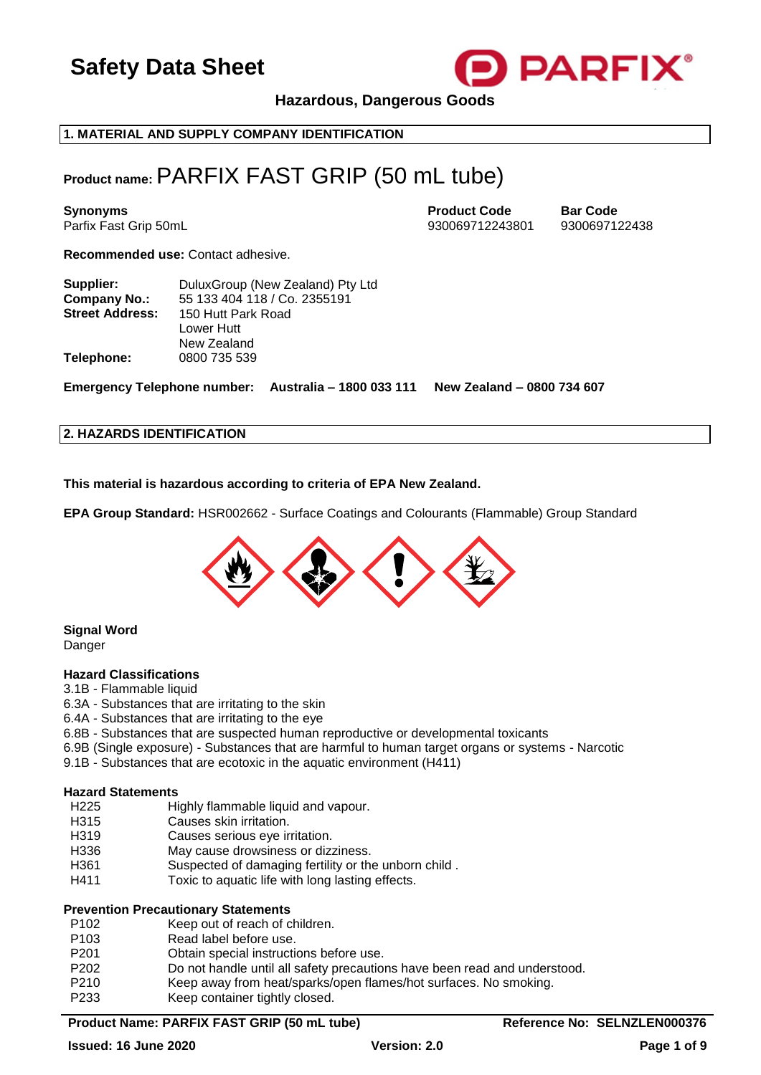

**Hazardous, Dangerous Goods**

**1. MATERIAL AND SUPPLY COMPANY IDENTIFICATION**

## **Product name:** PARFIX FAST GRIP (50 mL tube)

**Synonyms Product Code Bar Code** Parfix Fast Grip 50mL 930069712243801 9300697122438

**Recommended use:** Contact adhesive.

| Supplier:              | DuluxGroup (New Zealand) Pty Ltd |
|------------------------|----------------------------------|
| <b>Company No.:</b>    | 55 133 404 118 / Co. 2355191     |
| <b>Street Address:</b> | 150 Hutt Park Road               |
|                        | Lower Hutt                       |
|                        | New Zealand                      |
| Telephone:             | 0800 735 539                     |
|                        |                                  |

**Emergency Telephone number: Australia – 1800 033 111 New Zealand – 0800 734 607**

#### **2. HAZARDS IDENTIFICATION**

**This material is hazardous according to criteria of EPA New Zealand.**

**EPA Group Standard:** HSR002662 - Surface Coatings and Colourants (Flammable) Group Standard



## **Signal Word**

Danger

#### **Hazard Classifications**

- 3.1B Flammable liquid
- 6.3A Substances that are irritating to the skin
- 6.4A Substances that are irritating to the eye
- 6.8B Substances that are suspected human reproductive or developmental toxicants
- 6.9B (Single exposure) Substances that are harmful to human target organs or systems Narcotic
- 9.1B Substances that are ecotoxic in the aquatic environment (H411)

#### **Hazard Statements**

- H225 Highly flammable liquid and vapour.
- H315 Causes skin irritation.
- H319 Causes serious eye irritation.
- H336 May cause drowsiness or dizziness.
- H361 Suspected of damaging fertility or the unborn child .
- H411 Toxic to aquatic life with long lasting effects.

#### **Prevention Precautionary Statements**

- P102 Keep out of reach of children.
- P103 Read label before use.
- P201 Obtain special instructions before use.
- P202 Do not handle until all safety precautions have been read and understood.
- P210 Keep away from heat/sparks/open flames/hot surfaces. No smoking.
- P233 Keep container tightly closed.

#### Product Name: PARFIX FAST GRIP (50 mL tube) **Reference No: SELNZLEN000376**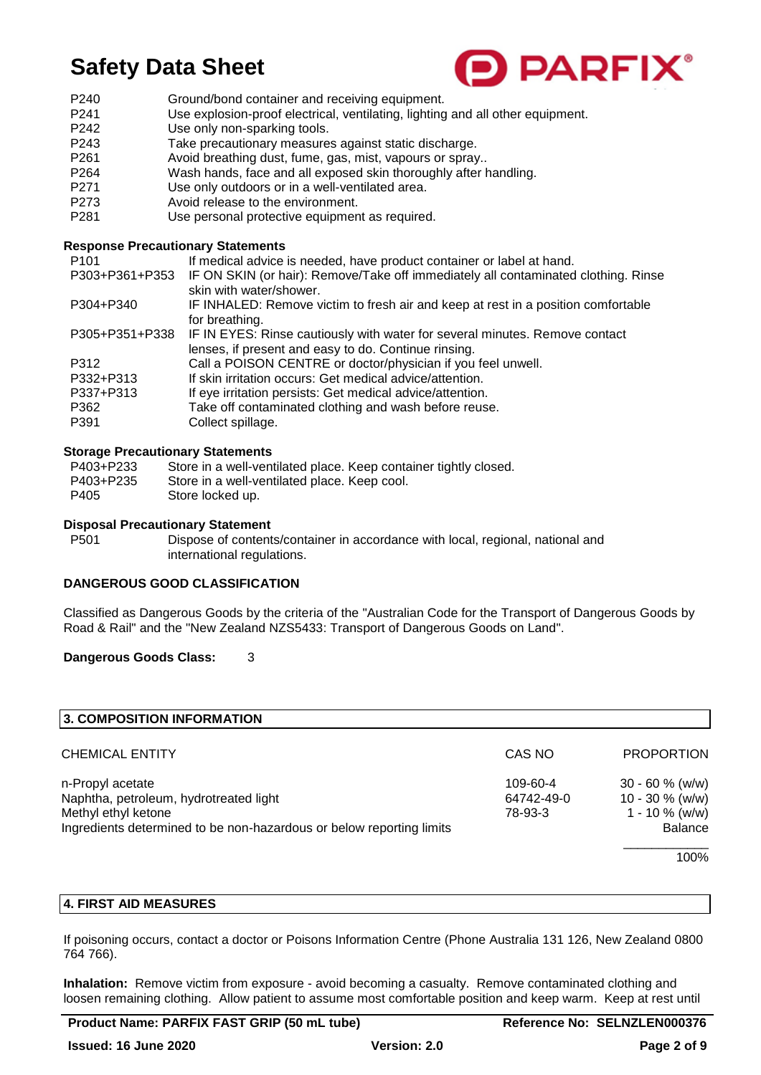

- P240 Ground/bond container and receiving equipment.
- P241 Use explosion-proof electrical, ventilating, lighting and all other equipment.
- P242 Use only non-sparking tools.
- P243 Take precautionary measures against static discharge.
- P261 Avoid breathing dust, fume, gas, mist, vapours or spray..
- P264 Wash hands, face and all exposed skin thoroughly after handling.
- P271 Use only outdoors or in a well-ventilated area.<br>P273 Avoid release to the environment
- Avoid release to the environment.
- P281 Use personal protective equipment as required.

### **Response Precautionary Statements**

| If medical advice is needed, have product container or label at hand.<br>IF ON SKIN (or hair): Remove/Take off immediately all contaminated clothing. Rinse |
|-------------------------------------------------------------------------------------------------------------------------------------------------------------|
| skin with water/shower.                                                                                                                                     |
| IF INHALED: Remove victim to fresh air and keep at rest in a position comfortable                                                                           |
| for breathing.                                                                                                                                              |
| IF IN EYES: Rinse cautiously with water for several minutes. Remove contact                                                                                 |
| lenses, if present and easy to do. Continue rinsing.                                                                                                        |
| Call a POISON CENTRE or doctor/physician if you feel unwell.                                                                                                |
| If skin irritation occurs: Get medical advice/attention.                                                                                                    |
| If eye irritation persists: Get medical advice/attention.                                                                                                   |
| Take off contaminated clothing and wash before reuse.                                                                                                       |
| Collect spillage.                                                                                                                                           |
|                                                                                                                                                             |

### **Storage Precautionary Statements**

| P403+P233 | Store in a well-ventilated place. Keep container tightly closed. |
|-----------|------------------------------------------------------------------|
| P403+P235 | Store in a well-ventilated place. Keep cool.                     |
| P405      | Store locked up.                                                 |

### **Disposal Precautionary Statement**

P501 Dispose of contents/container in accordance with local, regional, national and international regulations.

## **DANGEROUS GOOD CLASSIFICATION**

Classified as Dangerous Goods by the criteria of the "Australian Code for the Transport of Dangerous Goods by Road & Rail" and the "New Zealand NZS5433: Transport of Dangerous Goods on Land".

## **Dangerous Goods Class:** 3

| 3. COMPOSITION INFORMATION                                                                                                                                |                                   |                                                                          |
|-----------------------------------------------------------------------------------------------------------------------------------------------------------|-----------------------------------|--------------------------------------------------------------------------|
| <b>CHEMICAL ENTITY</b>                                                                                                                                    | CAS NO                            | <b>PROPORTION</b>                                                        |
| n-Propyl acetate<br>Naphtha, petroleum, hydrotreated light<br>Methyl ethyl ketone<br>Ingredients determined to be non-hazardous or below reporting limits | 109-60-4<br>64742-49-0<br>78-93-3 | $30 - 60 \%$ (w/w)<br>$10 - 30 \%$ (w/w)<br>1 - 10 $\%$ (w/w)<br>Balance |
|                                                                                                                                                           |                                   | 100%                                                                     |

### **4. FIRST AID MEASURES**

If poisoning occurs, contact a doctor or Poisons Information Centre (Phone Australia 131 126, New Zealand 0800 764 766).

**Inhalation:** Remove victim from exposure - avoid becoming a casualty. Remove contaminated clothing and loosen remaining clothing. Allow patient to assume most comfortable position and keep warm. Keep at rest until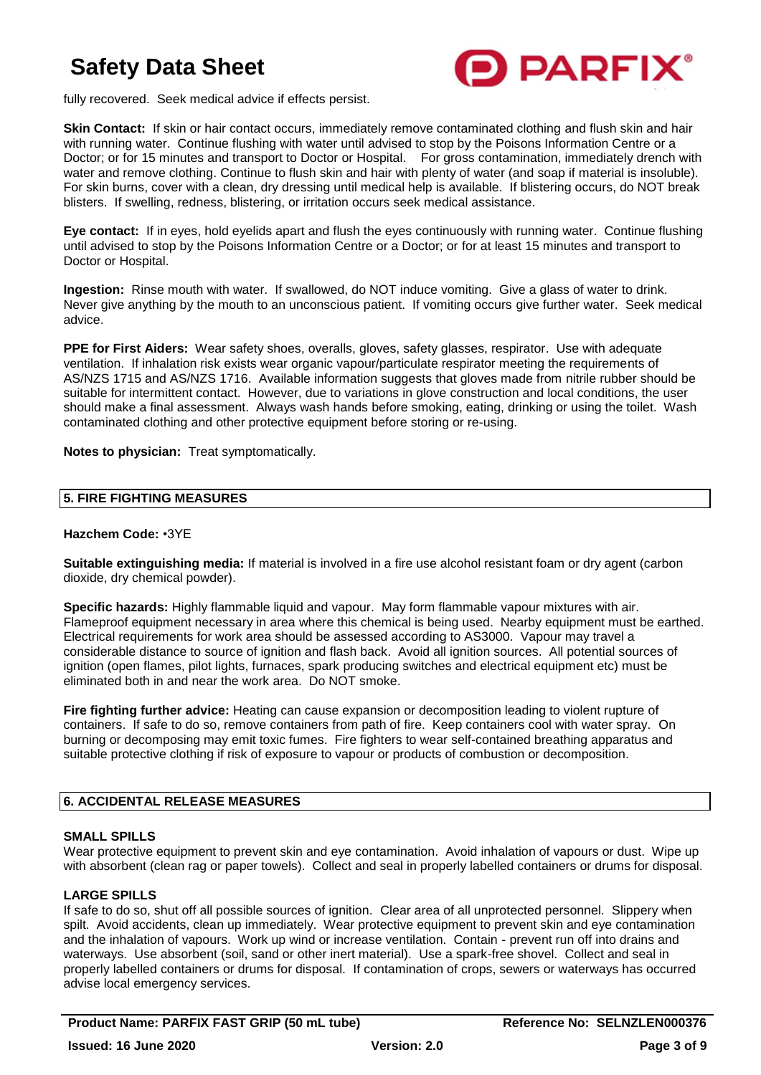

fully recovered. Seek medical advice if effects persist.

**Skin Contact:** If skin or hair contact occurs, immediately remove contaminated clothing and flush skin and hair with running water. Continue flushing with water until advised to stop by the Poisons Information Centre or a Doctor; or for 15 minutes and transport to Doctor or Hospital. For gross contamination, immediately drench with water and remove clothing. Continue to flush skin and hair with plenty of water (and soap if material is insoluble). For skin burns, cover with a clean, dry dressing until medical help is available. If blistering occurs, do NOT break blisters. If swelling, redness, blistering, or irritation occurs seek medical assistance.

**Eye contact:** If in eyes, hold eyelids apart and flush the eyes continuously with running water. Continue flushing until advised to stop by the Poisons Information Centre or a Doctor; or for at least 15 minutes and transport to Doctor or Hospital.

**Ingestion:** Rinse mouth with water. If swallowed, do NOT induce vomiting. Give a glass of water to drink. Never give anything by the mouth to an unconscious patient. If vomiting occurs give further water. Seek medical advice.

**PPE for First Aiders:** Wear safety shoes, overalls, gloves, safety glasses, respirator. Use with adequate ventilation. If inhalation risk exists wear organic vapour/particulate respirator meeting the requirements of AS/NZS 1715 and AS/NZS 1716. Available information suggests that gloves made from nitrile rubber should be suitable for intermittent contact. However, due to variations in glove construction and local conditions, the user should make a final assessment. Always wash hands before smoking, eating, drinking or using the toilet. Wash contaminated clothing and other protective equipment before storing or re-using.

**Notes to physician:** Treat symptomatically.

## **5. FIRE FIGHTING MEASURES**

### **Hazchem Code:** •3YE

**Suitable extinguishing media:** If material is involved in a fire use alcohol resistant foam or dry agent (carbon dioxide, dry chemical powder).

**Specific hazards:** Highly flammable liquid and vapour. May form flammable vapour mixtures with air. Flameproof equipment necessary in area where this chemical is being used. Nearby equipment must be earthed. Electrical requirements for work area should be assessed according to AS3000. Vapour may travel a considerable distance to source of ignition and flash back. Avoid all ignition sources. All potential sources of ignition (open flames, pilot lights, furnaces, spark producing switches and electrical equipment etc) must be eliminated both in and near the work area. Do NOT smoke.

**Fire fighting further advice:** Heating can cause expansion or decomposition leading to violent rupture of containers. If safe to do so, remove containers from path of fire. Keep containers cool with water spray. On burning or decomposing may emit toxic fumes. Fire fighters to wear self-contained breathing apparatus and suitable protective clothing if risk of exposure to vapour or products of combustion or decomposition.

## **6. ACCIDENTAL RELEASE MEASURES**

#### **SMALL SPILLS**

Wear protective equipment to prevent skin and eye contamination. Avoid inhalation of vapours or dust. Wipe up with absorbent (clean rag or paper towels). Collect and seal in properly labelled containers or drums for disposal.

#### **LARGE SPILLS**

If safe to do so, shut off all possible sources of ignition. Clear area of all unprotected personnel. Slippery when spilt. Avoid accidents, clean up immediately. Wear protective equipment to prevent skin and eye contamination and the inhalation of vapours. Work up wind or increase ventilation. Contain - prevent run off into drains and waterways. Use absorbent (soil, sand or other inert material). Use a spark-free shovel. Collect and seal in properly labelled containers or drums for disposal. If contamination of crops, sewers or waterways has occurred advise local emergency services.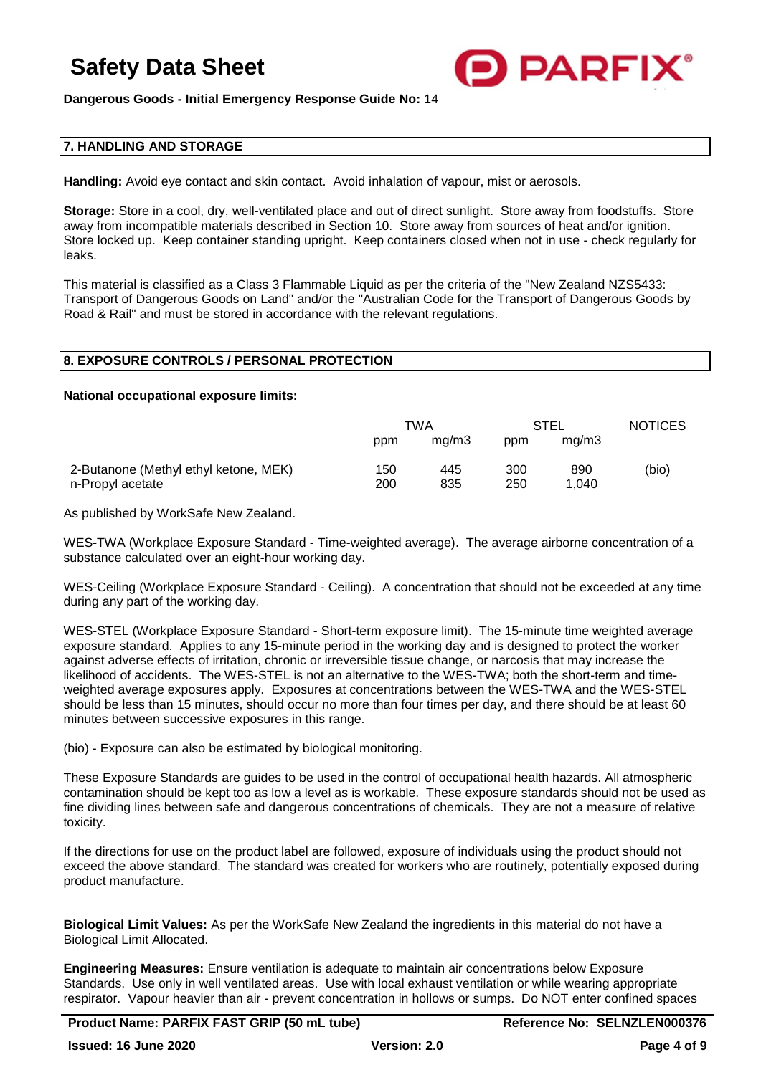

**Dangerous Goods - Initial Emergency Response Guide No:** 14

### **7. HANDLING AND STORAGE**

**Handling:** Avoid eye contact and skin contact. Avoid inhalation of vapour, mist or aerosols.

**Storage:** Store in a cool, dry, well-ventilated place and out of direct sunlight. Store away from foodstuffs. Store away from incompatible materials described in Section 10. Store away from sources of heat and/or ignition. Store locked up. Keep container standing upright. Keep containers closed when not in use - check regularly for leaks.

This material is classified as a Class 3 Flammable Liquid as per the criteria of the "New Zealand NZS5433: Transport of Dangerous Goods on Land" and/or the "Australian Code for the Transport of Dangerous Goods by Road & Rail" and must be stored in accordance with the relevant regulations.

## **8. EXPOSURE CONTROLS / PERSONAL PROTECTION**

#### **National occupational exposure limits:**

|                                                           | TWA        |            | STEL       |              | <b>NOTICES</b> |
|-----------------------------------------------------------|------------|------------|------------|--------------|----------------|
|                                                           | ppm        | mq/m3      | ppm        | mq/m3        |                |
| 2-Butanone (Methyl ethyl ketone, MEK)<br>n-Propyl acetate | 150<br>200 | 445<br>835 | 300<br>250 | 890<br>1.040 | (bio)          |

As published by WorkSafe New Zealand.

WES-TWA (Workplace Exposure Standard - Time-weighted average). The average airborne concentration of a substance calculated over an eight-hour working day.

WES-Ceiling (Workplace Exposure Standard - Ceiling). A concentration that should not be exceeded at any time during any part of the working day.

WES-STEL (Workplace Exposure Standard - Short-term exposure limit). The 15-minute time weighted average exposure standard. Applies to any 15-minute period in the working day and is designed to protect the worker against adverse effects of irritation, chronic or irreversible tissue change, or narcosis that may increase the likelihood of accidents. The WES-STEL is not an alternative to the WES-TWA; both the short-term and timeweighted average exposures apply. Exposures at concentrations between the WES-TWA and the WES-STEL should be less than 15 minutes, should occur no more than four times per day, and there should be at least 60 minutes between successive exposures in this range.

(bio) - Exposure can also be estimated by biological monitoring.

These Exposure Standards are guides to be used in the control of occupational health hazards. All atmospheric contamination should be kept too as low a level as is workable. These exposure standards should not be used as fine dividing lines between safe and dangerous concentrations of chemicals. They are not a measure of relative toxicity.

If the directions for use on the product label are followed, exposure of individuals using the product should not exceed the above standard. The standard was created for workers who are routinely, potentially exposed during product manufacture.

**Biological Limit Values:** As per the WorkSafe New Zealand the ingredients in this material do not have a Biological Limit Allocated.

**Engineering Measures:** Ensure ventilation is adequate to maintain air concentrations below Exposure Standards. Use only in well ventilated areas. Use with local exhaust ventilation or while wearing appropriate respirator. Vapour heavier than air - prevent concentration in hollows or sumps. Do NOT enter confined spaces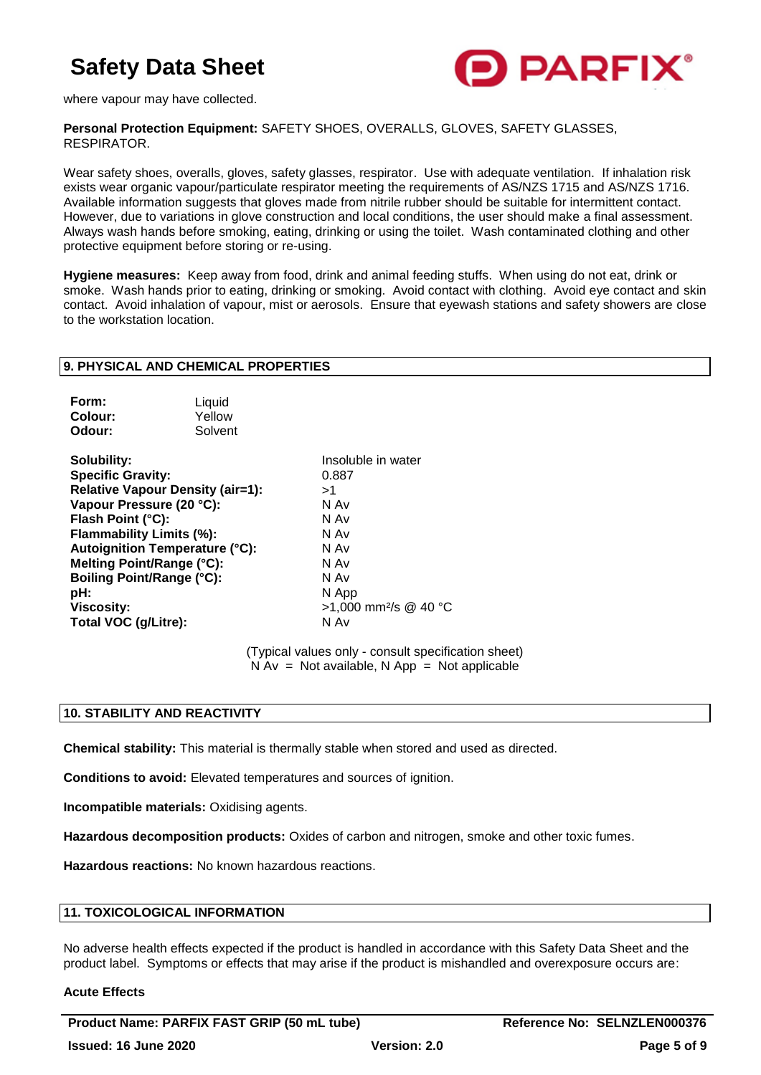

where vapour may have collected.

**Personal Protection Equipment:** SAFETY SHOES, OVERALLS, GLOVES, SAFETY GLASSES, RESPIRATOR.

Wear safety shoes, overalls, gloves, safety glasses, respirator. Use with adequate ventilation. If inhalation risk exists wear organic vapour/particulate respirator meeting the requirements of AS/NZS 1715 and AS/NZS 1716. Available information suggests that gloves made from nitrile rubber should be suitable for intermittent contact. However, due to variations in glove construction and local conditions, the user should make a final assessment. Always wash hands before smoking, eating, drinking or using the toilet. Wash contaminated clothing and other protective equipment before storing or re-using.

**Hygiene measures:** Keep away from food, drink and animal feeding stuffs. When using do not eat, drink or smoke. Wash hands prior to eating, drinking or smoking. Avoid contact with clothing. Avoid eye contact and skin contact. Avoid inhalation of vapour, mist or aerosols. Ensure that eyewash stations and safety showers are close to the workstation location.

#### **9. PHYSICAL AND CHEMICAL PROPERTIES**

| Form:   | Liquid  |
|---------|---------|
| Colour: | Yellow  |
| Odour:  | Solvent |

**Solubility:** Insoluble in water **Specific Gravity:** 0.887 **Relative Vapour Density (air=1):** >1 **Vapour Pressure (20 °C):** N Av **Flash Point (°C):** N Av **Flammability Limits (%):** N Av **Autoignition Temperature (°C):** N Av **Melting Point/Range (°C):** N Av **Boiling Point/Range (°C):** N Av <br> **pH:** N Ap **pH:** N App **Total VOC (g/Litre):** N Av

**Viscosity:** >1,000 mm²/s @ 40 °C

(Typical values only - consult specification sheet)  $N Av = Not available, N App = Not applicable$ 

#### **10. STABILITY AND REACTIVITY**

**Chemical stability:** This material is thermally stable when stored and used as directed.

**Conditions to avoid:** Elevated temperatures and sources of ignition.

**Incompatible materials:** Oxidising agents.

**Hazardous decomposition products:** Oxides of carbon and nitrogen, smoke and other toxic fumes.

**Hazardous reactions:** No known hazardous reactions.

#### **11. TOXICOLOGICAL INFORMATION**

No adverse health effects expected if the product is handled in accordance with this Safety Data Sheet and the product label. Symptoms or effects that may arise if the product is mishandled and overexposure occurs are:

#### **Acute Effects**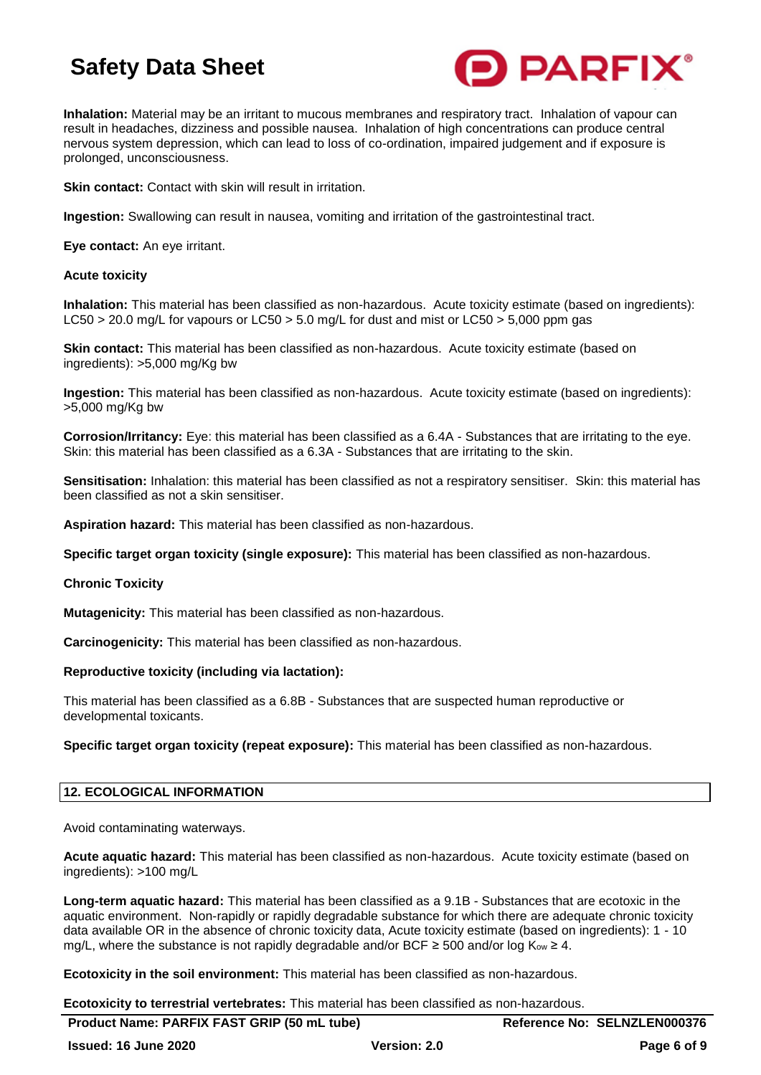

**Inhalation:** Material may be an irritant to mucous membranes and respiratory tract. Inhalation of vapour can result in headaches, dizziness and possible nausea. Inhalation of high concentrations can produce central nervous system depression, which can lead to loss of co-ordination, impaired judgement and if exposure is prolonged, unconsciousness.

**Skin contact:** Contact with skin will result in irritation.

**Ingestion:** Swallowing can result in nausea, vomiting and irritation of the gastrointestinal tract.

**Eye contact:** An eye irritant.

### **Acute toxicity**

**Inhalation:** This material has been classified as non-hazardous. Acute toxicity estimate (based on ingredients): LC50 > 20.0 mg/L for vapours or LC50 > 5.0 mg/L for dust and mist or LC50 > 5.000 ppm gas

**Skin contact:** This material has been classified as non-hazardous. Acute toxicity estimate (based on ingredients): >5,000 mg/Kg bw

**Ingestion:** This material has been classified as non-hazardous. Acute toxicity estimate (based on ingredients): >5,000 mg/Kg bw

**Corrosion/Irritancy:** Eye: this material has been classified as a 6.4A - Substances that are irritating to the eye. Skin: this material has been classified as a 6.3A - Substances that are irritating to the skin.

**Sensitisation:** Inhalation: this material has been classified as not a respiratory sensitiser. Skin: this material has been classified as not a skin sensitiser.

**Aspiration hazard:** This material has been classified as non-hazardous.

**Specific target organ toxicity (single exposure):** This material has been classified as non-hazardous.

#### **Chronic Toxicity**

**Mutagenicity:** This material has been classified as non-hazardous.

**Carcinogenicity:** This material has been classified as non-hazardous.

## **Reproductive toxicity (including via lactation):**

This material has been classified as a 6.8B - Substances that are suspected human reproductive or developmental toxicants.

**Specific target organ toxicity (repeat exposure):** This material has been classified as non-hazardous.

## **12. ECOLOGICAL INFORMATION**

Avoid contaminating waterways.

**Acute aquatic hazard:** This material has been classified as non-hazardous. Acute toxicity estimate (based on ingredients): >100 mg/L

**Long-term aquatic hazard:** This material has been classified as a 9.1B - Substances that are ecotoxic in the aquatic environment. Non-rapidly or rapidly degradable substance for which there are adequate chronic toxicity data available OR in the absence of chronic toxicity data, Acute toxicity estimate (based on ingredients): 1 - 10 mg/L, where the substance is not rapidly degradable and/or BCF  $\geq$  500 and/or log K<sub>ow</sub>  $\geq$  4.

**Ecotoxicity in the soil environment:** This material has been classified as non-hazardous.

**Ecotoxicity to terrestrial vertebrates:** This material has been classified as non-hazardous.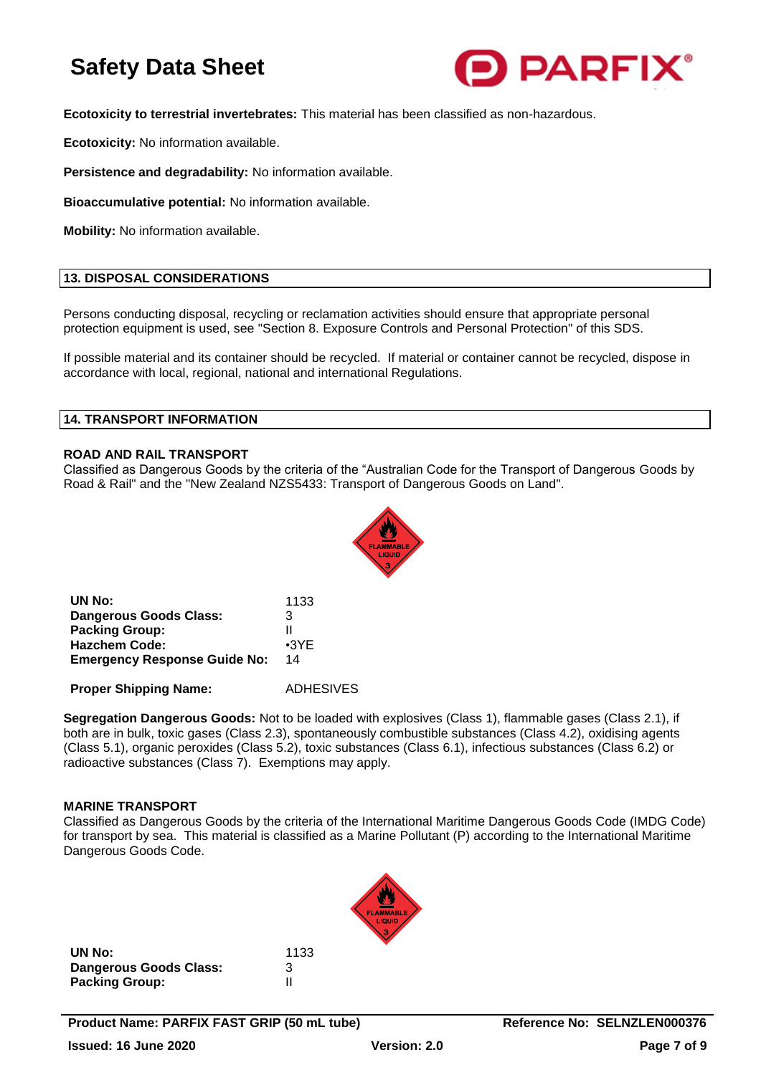

**Ecotoxicity to terrestrial invertebrates:** This material has been classified as non-hazardous.

**Ecotoxicity:** No information available.

**Persistence and degradability:** No information available.

**Bioaccumulative potential:** No information available.

**Mobility:** No information available.

## **13. DISPOSAL CONSIDERATIONS**

Persons conducting disposal, recycling or reclamation activities should ensure that appropriate personal protection equipment is used, see "Section 8. Exposure Controls and Personal Protection" of this SDS.

If possible material and its container should be recycled. If material or container cannot be recycled, dispose in accordance with local, regional, national and international Regulations.

#### **14. TRANSPORT INFORMATION**

### **ROAD AND RAIL TRANSPORT**

Classified as Dangerous Goods by the criteria of the "Australian Code for the Transport of Dangerous Goods by Road & Rail" and the "New Zealand NZS5433: Transport of Dangerous Goods on Land".



| UN No:                              | 1133        |
|-------------------------------------|-------------|
| Dangerous Goods Class:              | 3           |
| <b>Packing Group:</b>               | н           |
| <b>Hazchem Code:</b>                | $\cdot$ 3YE |
| <b>Emergency Response Guide No:</b> | 14          |

**Proper Shipping Name:** ADHESIVES

**Segregation Dangerous Goods:** Not to be loaded with explosives (Class 1), flammable gases (Class 2.1), if both are in bulk, toxic gases (Class 2.3), spontaneously combustible substances (Class 4.2), oxidising agents (Class 5.1), organic peroxides (Class 5.2), toxic substances (Class 6.1), infectious substances (Class 6.2) or radioactive substances (Class 7). Exemptions may apply.

#### **MARINE TRANSPORT**

Classified as Dangerous Goods by the criteria of the International Maritime Dangerous Goods Code (IMDG Code) for transport by sea. This material is classified as a Marine Pollutant (P) according to the International Maritime Dangerous Goods Code.

| UN No:                        | 1133 |
|-------------------------------|------|
| <b>Dangerous Goods Class:</b> | 3    |
| <b>Packing Group:</b>         | Ш    |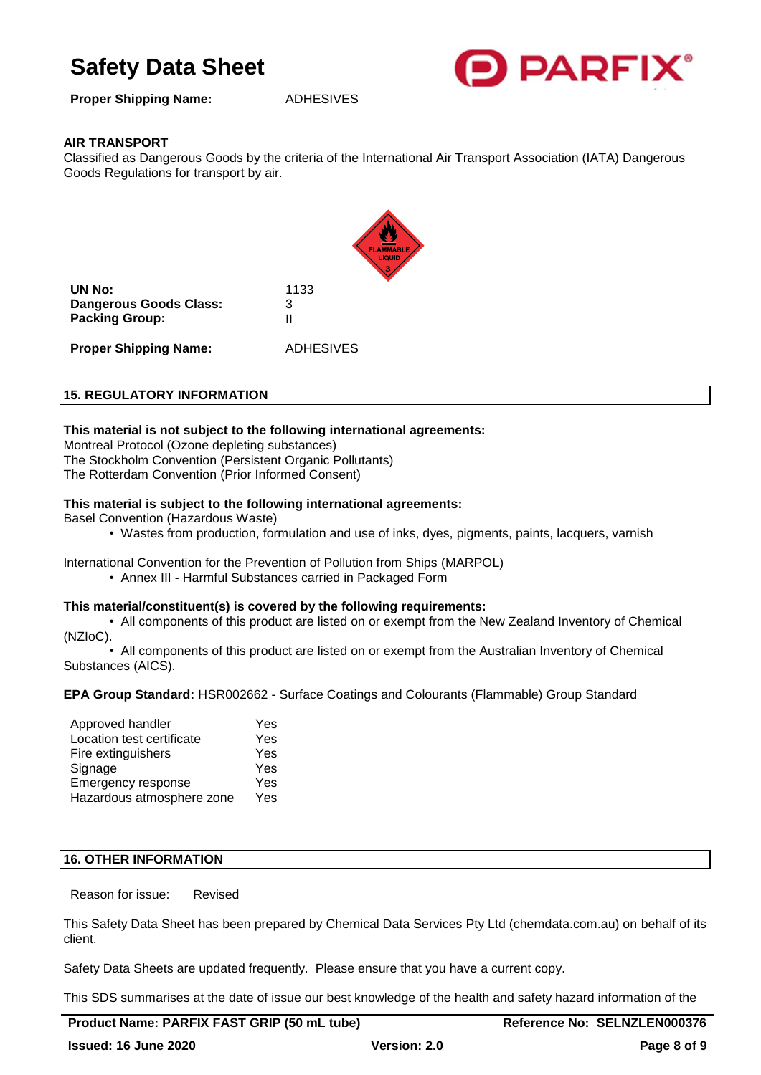

**Proper Shipping Name:** ADHESIVES

## **AIR TRANSPORT**

Classified as Dangerous Goods by the criteria of the International Air Transport Association (IATA) Dangerous Goods Regulations for transport by air.



**UN No:** 1133 **Dangerous Goods Class:** 3 **Packing Group:** II

**Proper Shipping Name:** ADHESIVES

## **15. REGULATORY INFORMATION**

## **This material is not subject to the following international agreements:**

Montreal Protocol (Ozone depleting substances) The Stockholm Convention (Persistent Organic Pollutants) The Rotterdam Convention (Prior Informed Consent)

## **This material is subject to the following international agreements:**

Basel Convention (Hazardous Waste)

• Wastes from production, formulation and use of inks, dyes, pigments, paints, lacquers, varnish

International Convention for the Prevention of Pollution from Ships (MARPOL) • Annex III - Harmful Substances carried in Packaged Form

## **This material/constituent(s) is covered by the following requirements:**

• All components of this product are listed on or exempt from the New Zealand Inventory of Chemical (NZIoC).

• All components of this product are listed on or exempt from the Australian Inventory of Chemical Substances (AICS).

## **EPA Group Standard:** HSR002662 - Surface Coatings and Colourants (Flammable) Group Standard

| Approved handler          | Yes |
|---------------------------|-----|
| Location test certificate | Yes |
| Fire extinguishers        | Yes |
| Signage                   | Yes |
| Emergency response        | Yes |
| Hazardous atmosphere zone | Yes |

## **16. OTHER INFORMATION**

Reason for issue: Revised

This Safety Data Sheet has been prepared by Chemical Data Services Pty Ltd (chemdata.com.au) on behalf of its client.

Safety Data Sheets are updated frequently. Please ensure that you have a current copy.

This SDS summarises at the date of issue our best knowledge of the health and safety hazard information of the